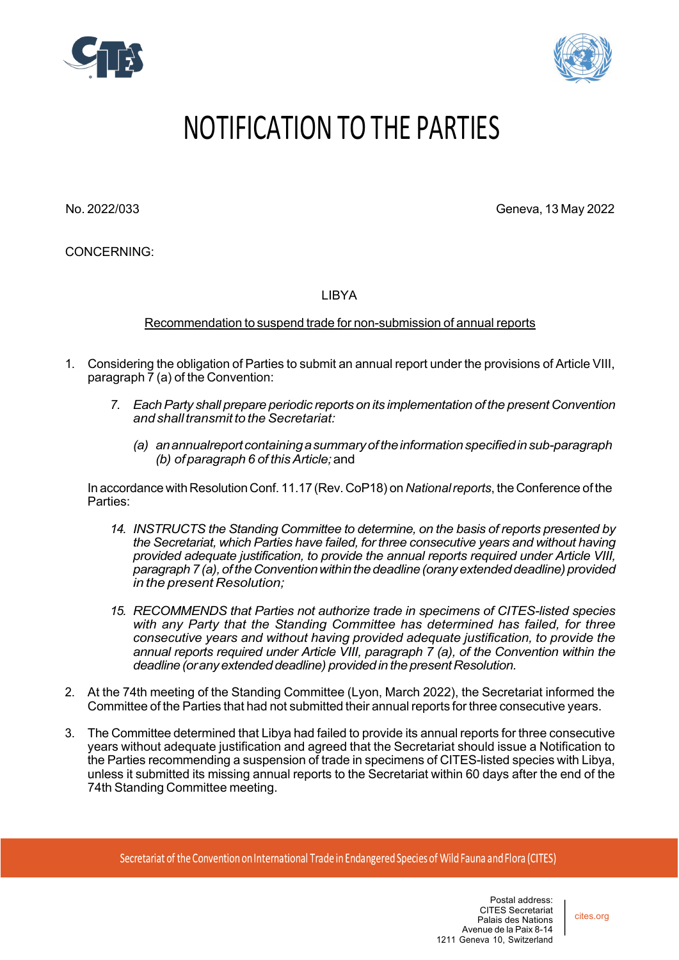



## NOTIFICATION TO THE PARTIES

No. 2022/033 Geneva, 13 May 2022

CONCERNING:

LIBYA

Recommendation to suspend trade for non-submission of annual reports

- 1. Considering the obligation of Parties to submit an annual report under the provisions of Article VIII, paragraph 7 (a) of the Convention:
	- *7. EachParty shall prepare periodic reports on its implementation of the present Convention andshalltransmit to theSecretariat:*
		- *(a) anannualreportcontainingasummaryoftheinformationspecifiedinsub-paragraph (b) of paragraph 6 of thisArticle;*and

In accordance with Resolution Conf. 11.17 (Rev. CoP18) on *Nationalreports*, the Conference of the Parties:

- *14. INSTRUCTS the Standing Committee to determine, on the basis of reports presented by the Secretariat, which Parties have failed, for three consecutive years and without having provided adequate justification, to provide the annual reports required under Article VIII, paragraph 7(a),oftheConventionwithinthedeadline(oranyextendeddeadline)provided in the present Resolution;*
- *15. RECOMMENDS that Parties not authorize trade in specimens of CITES-listed species with any Party that the Standing Committee has determined has failed, for three consecutive years and without having provided adequate justification, to provide the annual reports required under Article VIII, paragraph 7 (a), of the Convention within the deadline(oranyextendeddeadline) providedin thepresentResolution.*
- 2. At the 74th meeting of the Standing Committee (Lyon, March 2022), the Secretariat informed the Committee of the Parties that had not submitted their annual reports for three consecutive years.
- 3. The Committee determined that Libya had failed to provide its annual reports for three consecutive years without adequate justification and agreed that the Secretariat should issue a Notification to the Parties recommending a suspension of trade in specimens of CITES-listed species with Libya, unless it submitted its missing annual reports to the Secretariat within 60 days after the end of the 74th Standing Committee meeting.

Secretariat of the Convention on International Trade in Endangered Species of Wild Fauna and Flora (CITES)